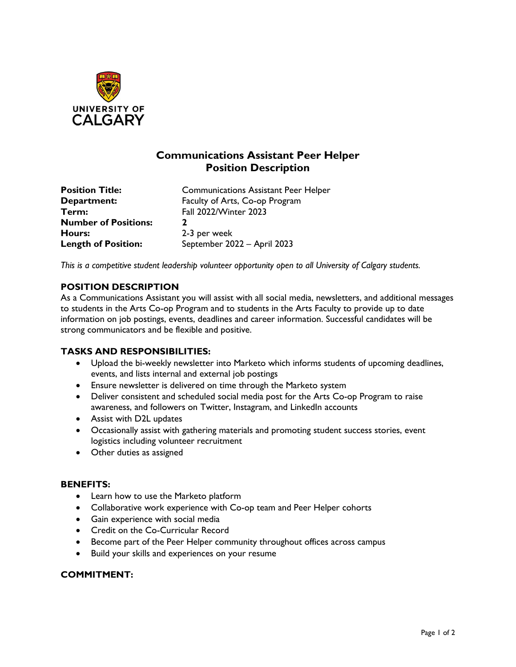

# **Communications Assistant Peer Helper Position Description**

**Term:** Fall 2022/Winter 2023 **Number of Positions: 2 Hours:** 2-3 per week

**Position Title:** Communications Assistant Peer Helper **Department:** Faculty of Arts, Co-op Program Length of Position: September 2022 – April 2023

*This is a competitive student leadership volunteer opportunity open to all University of Calgary students.* 

# **POSITION DESCRIPTION**

As a Communications Assistant you will assist with all social media, newsletters, and additional messages to students in the Arts Co-op Program and to students in the Arts Faculty to provide up to date information on job postings, events, deadlines and career information. Successful candidates will be strong communicators and be flexible and positive.

#### **TASKS AND RESPONSIBILITIES:**

- Upload the bi-weekly newsletter into Marketo which informs students of upcoming deadlines, events, and lists internal and external job postings
- Ensure newsletter is delivered on time through the Marketo system
- Deliver consistent and scheduled social media post for the Arts Co-op Program to raise awareness, and followers on Twitter, Instagram, and LinkedIn accounts
- Assist with D2L updates
- Occasionally assist with gathering materials and promoting student success stories, event logistics including volunteer recruitment
- Other duties as assigned

#### **BENEFITS:**

- Learn how to use the Marketo platform
- Collaborative work experience with Co-op team and Peer Helper cohorts
- Gain experience with social media
- Credit on the Co-Curricular Record
- Become part of the Peer Helper community throughout offices across campus
- Build your skills and experiences on your resume

#### **COMMITMENT:**